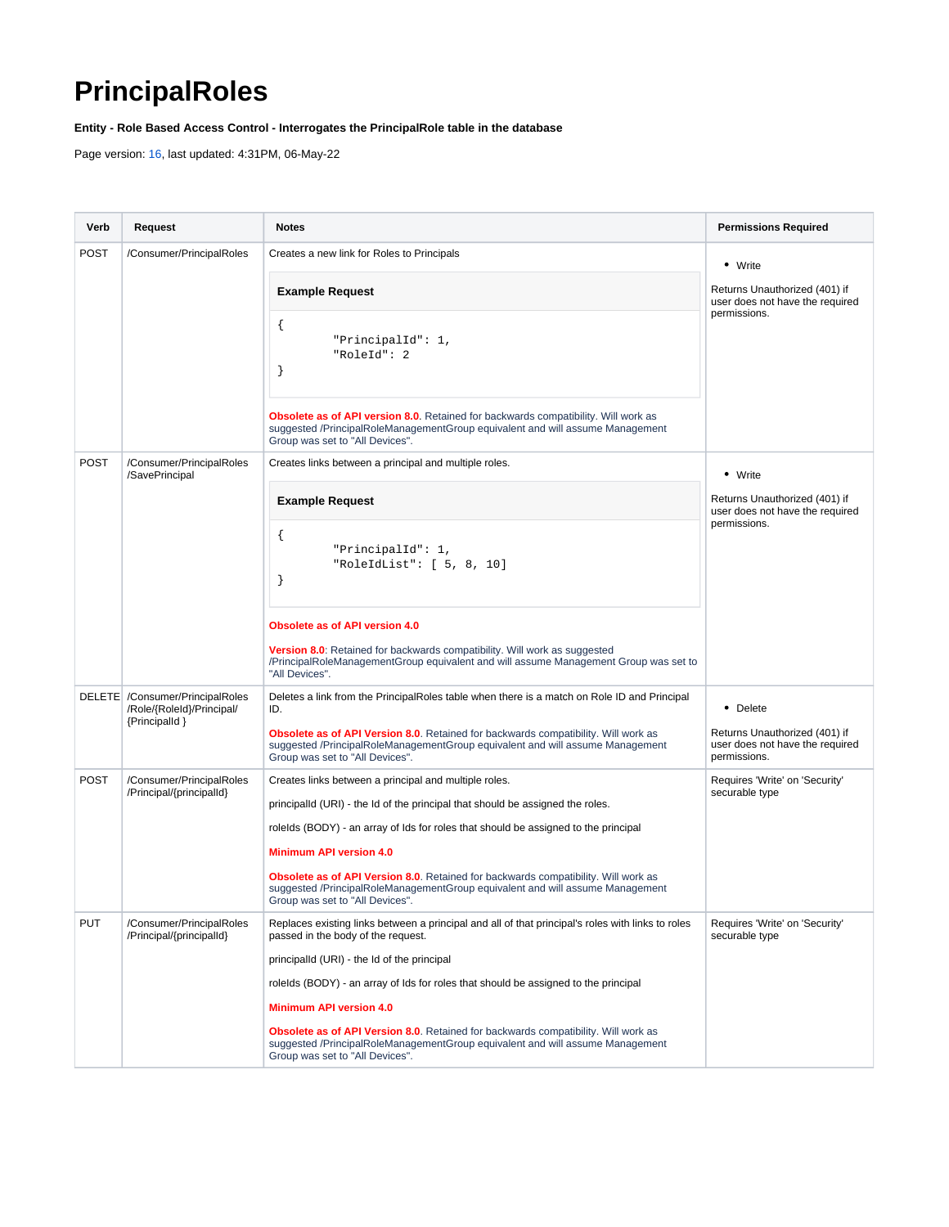## <span id="page-0-0"></span>**PrincipalRoles**

**Entity - Role Based Access Control - Interrogates the PrincipalRole table in the database**

Page version: [16](#page-0-0), last updated: 4:31PM, 06-May-22

| Verb        | Request                                                                         | <b>Notes</b>                                                                                                                                                                                                                 | <b>Permissions Required</b>                                                                 |
|-------------|---------------------------------------------------------------------------------|------------------------------------------------------------------------------------------------------------------------------------------------------------------------------------------------------------------------------|---------------------------------------------------------------------------------------------|
| <b>POST</b> | /Consumer/PrincipalRoles                                                        | Creates a new link for Roles to Principals                                                                                                                                                                                   | • Write<br>Returns Unauthorized (401) if<br>user does not have the required<br>permissions. |
|             |                                                                                 | <b>Example Request</b><br>₹<br>"PrincipalId": 1,<br>"RoleId": 2                                                                                                                                                              |                                                                                             |
|             |                                                                                 | ł<br><b>Obsolete as of API version 8.0.</b> Retained for backwards compatibility. Will work as<br>suggested /PrincipalRoleManagementGroup equivalent and will assume Management<br>Group was set to "All Devices".           |                                                                                             |
| <b>POST</b> | /Consumer/PrincipalRoles<br>/SavePrincipal                                      | Creates links between a principal and multiple roles.                                                                                                                                                                        | • Write                                                                                     |
|             |                                                                                 | <b>Example Request</b>                                                                                                                                                                                                       | Returns Unauthorized (401) if<br>user does not have the required<br>permissions.            |
|             |                                                                                 | $\mathcal{L}$<br>"PrincipalId": 1,<br>"RoleIdList": $[5, 8, 10]$                                                                                                                                                             |                                                                                             |
|             |                                                                                 | <b>Obsolete as of API version 4.0</b><br>Version 8.0: Retained for backwards compatibility. Will work as suggested<br>/PrincipalRoleManagementGroup equivalent and will assume Management Group was set to<br>"All Devices". |                                                                                             |
|             | DELETE / Consumer/PrincipalRoles<br>/Role/{RoleId}/Principal/<br>{Principalld } | Deletes a link from the PrincipalRoles table when there is a match on Role ID and Principal<br>ID.                                                                                                                           | • Delete                                                                                    |
|             |                                                                                 | <b>Obsolete as of API Version 8.0.</b> Retained for backwards compatibility. Will work as<br>suggested /PrincipalRoleManagementGroup equivalent and will assume Management<br>Group was set to "All Devices".                | Returns Unauthorized (401) if<br>user does not have the required<br>permissions.            |
| <b>POST</b> | /Consumer/PrincipalRoles<br>/Principal/{principalId}                            | Creates links between a principal and multiple roles.<br>principalld (URI) - the Id of the principal that should be assigned the roles.                                                                                      | Requires 'Write' on 'Security'<br>securable type                                            |
|             |                                                                                 | rolelds (BODY) - an array of lds for roles that should be assigned to the principal                                                                                                                                          |                                                                                             |
|             |                                                                                 | <b>Minimum API version 4.0</b>                                                                                                                                                                                               |                                                                                             |
|             |                                                                                 | <b>Obsolete as of API Version 8.0.</b> Retained for backwards compatibility. Will work as<br>suggested /PrincipalRoleManagementGroup equivalent and will assume Management<br>Group was set to "All Devices".                |                                                                                             |
| <b>PUT</b>  | /Consumer/PrincipalRoles<br>/Principal/{principalId}                            | Replaces existing links between a principal and all of that principal's roles with links to roles<br>passed in the body of the request.                                                                                      | Requires 'Write' on 'Security'<br>securable type                                            |
|             |                                                                                 | principalld (URI) - the Id of the principal                                                                                                                                                                                  |                                                                                             |
|             |                                                                                 | rolelds (BODY) - an array of lds for roles that should be assigned to the principal                                                                                                                                          |                                                                                             |
|             |                                                                                 | <b>Minimum API version 4.0</b>                                                                                                                                                                                               |                                                                                             |
|             |                                                                                 | <b>Obsolete as of API Version 8.0.</b> Retained for backwards compatibility. Will work as<br>suggested /PrincipalRoleManagementGroup equivalent and will assume Management<br>Group was set to "All Devices".                |                                                                                             |